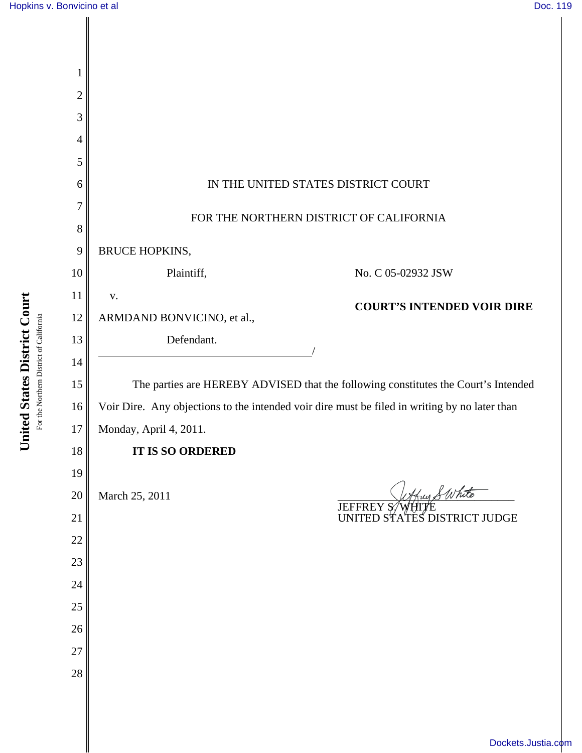

United States District Court **United States District Court** For the Northern District of California For the Northern District of California

[Dockets.Justia.com](http://dockets.justia.com/)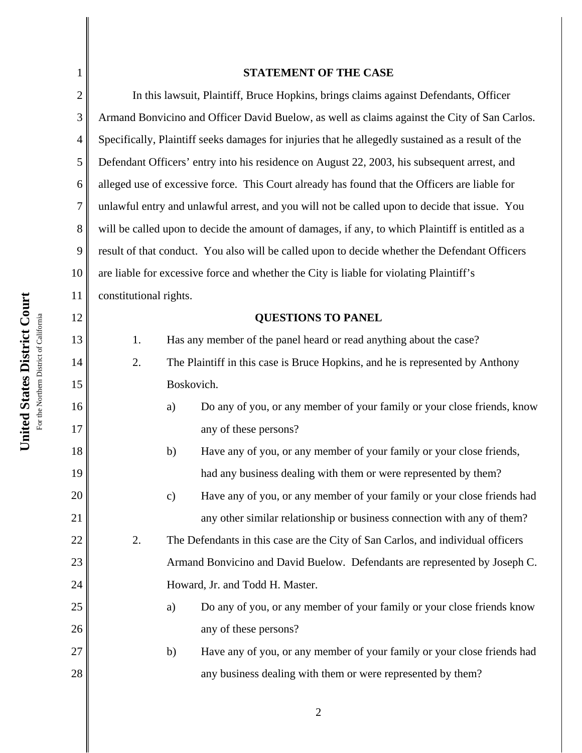1

2

3

4

5

6

7

8

9

12

13

14

15

16

17

18

19

20

21

22

23

24

25

26

27

28

## **STATEMENT OF THE CASE**

10 11 In this lawsuit, Plaintiff, Bruce Hopkins, brings claims against Defendants, Officer Armand Bonvicino and Officer David Buelow, as well as claims against the City of San Carlos. Specifically, Plaintiff seeks damages for injuries that he allegedly sustained as a result of the Defendant Officers' entry into his residence on August 22, 2003, his subsequent arrest, and alleged use of excessive force. This Court already has found that the Officers are liable for unlawful entry and unlawful arrest, and you will not be called upon to decide that issue. You will be called upon to decide the amount of damages, if any, to which Plaintiff is entitled as a result of that conduct. You also will be called upon to decide whether the Defendant Officers are liable for excessive force and whether the City is liable for violating Plaintiff's constitutional rights.

## **QUESTIONS TO PANEL**

1. Has any member of the panel heard or read anything about the case?

2. The Plaintiff in this case is Bruce Hopkins, and he is represented by Anthony Boskovich.

- a) Do any of you, or any member of your family or your close friends, know any of these persons?
- b) Have any of you, or any member of your family or your close friends, had any business dealing with them or were represented by them?
- c) Have any of you, or any member of your family or your close friends had any other similar relationship or business connection with any of them?

2. The Defendants in this case are the City of San Carlos, and individual officers Armand Bonvicino and David Buelow. Defendants are represented by Joseph C. Howard, Jr. and Todd H. Master.

- a) Do any of you, or any member of your family or your close friends know any of these persons?
- b) Have any of you, or any member of your family or your close friends had any business dealing with them or were represented by them?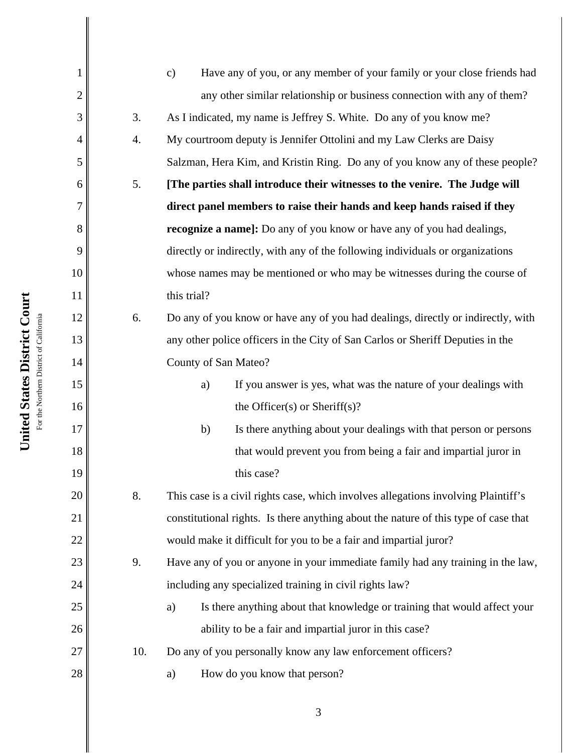| 1              |     | Have any of you, or any member of your family or your close friends had<br>$\mathbf{c})$ |
|----------------|-----|------------------------------------------------------------------------------------------|
| $\overline{c}$ |     | any other similar relationship or business connection with any of them?                  |
| 3              | 3.  | As I indicated, my name is Jeffrey S. White. Do any of you know me?                      |
| $\overline{4}$ | 4.  | My courtroom deputy is Jennifer Ottolini and my Law Clerks are Daisy                     |
| 5              |     | Salzman, Hera Kim, and Kristin Ring. Do any of you know any of these people?             |
| 6              | 5.  | [The parties shall introduce their witnesses to the venire. The Judge will               |
| 7              |     | direct panel members to raise their hands and keep hands raised if they                  |
| 8              |     | <b>recognize a name]:</b> Do any of you know or have any of you had dealings,            |
| 9              |     | directly or indirectly, with any of the following individuals or organizations           |
| 10             |     | whose names may be mentioned or who may be witnesses during the course of                |
| 11             |     | this trial?                                                                              |
| 12             | 6.  | Do any of you know or have any of you had dealings, directly or indirectly, with         |
| 13             |     | any other police officers in the City of San Carlos or Sheriff Deputies in the           |
| 14             |     | County of San Mateo?                                                                     |
| 15             |     | If you answer is yes, what was the nature of your dealings with<br>a)                    |
| 16             |     | the Officer(s) or Sheriff(s)?                                                            |
| 17             |     | Is there anything about your dealings with that person or persons<br>b)                  |
| 18             |     | that would prevent you from being a fair and impartial juror in                          |
| 19             |     | this case?                                                                               |
| 20             | 8.  | This case is a civil rights case, which involves allegations involving Plaintiff's       |
| 21             |     | constitutional rights. Is there anything about the nature of this type of case that      |
| 22             |     | would make it difficult for you to be a fair and impartial juror?                        |
| 23             | 9.  | Have any of you or anyone in your immediate family had any training in the law,          |
| 24             |     | including any specialized training in civil rights law?                                  |
| 25             |     | Is there anything about that knowledge or training that would affect your<br>a)          |
| 26             |     | ability to be a fair and impartial juror in this case?                                   |
| 27             | 10. | Do any of you personally know any law enforcement officers?                              |
| 28             |     | How do you know that person?<br>a)                                                       |
|                |     |                                                                                          |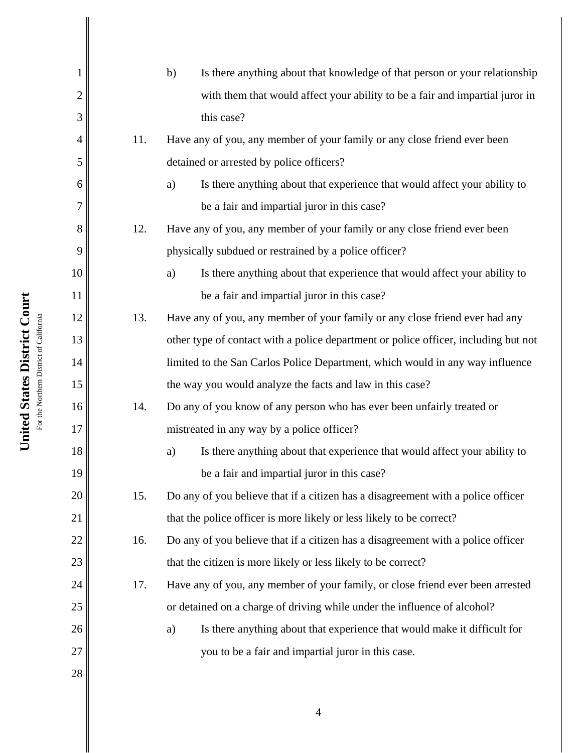| $\mathbf{1}$   |     | Is there anything about that knowledge of that person or your relationship<br>b)    |
|----------------|-----|-------------------------------------------------------------------------------------|
| $\overline{2}$ |     | with them that would affect your ability to be a fair and impartial juror in        |
| 3              |     | this case?                                                                          |
| 4              | 11. | Have any of you, any member of your family or any close friend ever been            |
| 5              |     | detained or arrested by police officers?                                            |
| 6              |     | Is there anything about that experience that would affect your ability to<br>a)     |
| 7              |     | be a fair and impartial juror in this case?                                         |
| 8              | 12. | Have any of you, any member of your family or any close friend ever been            |
| 9              |     | physically subdued or restrained by a police officer?                               |
| 10             |     | Is there anything about that experience that would affect your ability to<br>a)     |
| 11             |     | be a fair and impartial juror in this case?                                         |
| 12             | 13. | Have any of you, any member of your family or any close friend ever had any         |
| 13             |     | other type of contact with a police department or police officer, including but not |
| 14             |     | limited to the San Carlos Police Department, which would in any way influence       |
| 15             |     | the way you would analyze the facts and law in this case?                           |
| 16             | 14. | Do any of you know of any person who has ever been unfairly treated or              |
| 17             |     | mistreated in any way by a police officer?                                          |
| 18             |     | Is there anything about that experience that would affect your ability to<br>a)     |
| 19             |     | be a fair and impartial juror in this case?                                         |
| 20             | 15. | Do any of you believe that if a citizen has a disagreement with a police officer    |
| 21             |     | that the police officer is more likely or less likely to be correct?                |
| 22             | 16. | Do any of you believe that if a citizen has a disagreement with a police officer    |
| 23             |     | that the citizen is more likely or less likely to be correct?                       |
| 24             | 17. | Have any of you, any member of your family, or close friend ever been arrested      |
| 25             |     | or detained on a charge of driving while under the influence of alcohol?            |
| 26             |     | Is there anything about that experience that would make it difficult for<br>a)      |
| 27             |     | you to be a fair and impartial juror in this case.                                  |
| 28             |     |                                                                                     |
|                |     |                                                                                     |